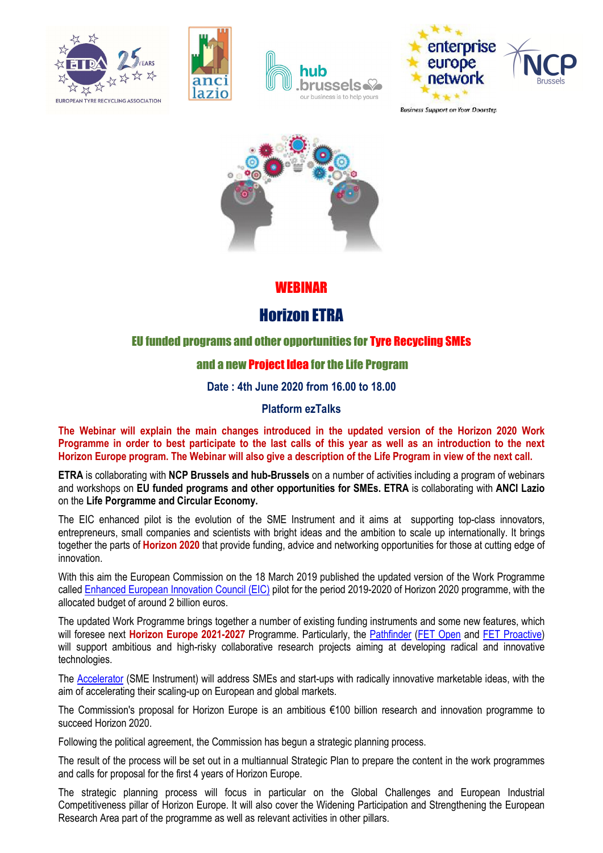







**Business Support on Your Doorstep** 



## WEBINAR

# Horizon ETRA

## EU funded programs and other opportunities for Tyre Recycling SMEs

### and a new Project Idea for the Life Program

Date : 4th June 2020 from 16.00 to 18.00

#### Platform ezTalks

The Webinar will explain the main changes introduced in the updated version of the Horizon 2020 Work Programme in order to best participate to the last calls of this year as well as an introduction to the next Horizon Europe program. The Webinar will also give a description of the Life Program in view of the next call.

ETRA is collaborating with NCP Brussels and hub-Brussels on a number of activities including a program of webinars and workshops on EU funded programs and other opportunities for SMEs. ETRA is collaborating with ANCI Lazio on the Life Porgramme and Circular Economy.

The EIC enhanced pilot is the evolution of the SME Instrument and it aims at supporting top-class innovators, entrepreneurs, small companies and scientists with bright ideas and the ambition to scale up internationally. It brings together the parts of **Horizon 2020** that provide funding, advice and networking opportunities for those at cutting edge of innovation.

With this aim the European Commission on the 18 March 2019 published the updated version of the Work Programme called Enhanced European Innovation Council (EIC) pilot for the period 2019-2020 of Horizon 2020 programme, with the allocated budget of around 2 billion euros.

The updated Work Programme brings together a number of existing funding instruments and some new features, which will foresee next **Horizon Europe 2021-2027** Programme. Particularly, the Pathfinder (FET Open and FET Proactive) will support ambitious and high-risky collaborative research projects aiming at developing radical and innovative technologies.

The Accelerator (SME Instrument) will address SMEs and start-ups with radically innovative marketable ideas, with the aim of accelerating their scaling-up on European and global markets.

The Commission's proposal for Horizon Europe is an ambitious €100 billion research and innovation programme to succeed Horizon 2020.

Following the political agreement, the Commission has begun a strategic planning process.

The result of the process will be set out in a multiannual Strategic Plan to prepare the content in the work programmes and calls for proposal for the first 4 years of Horizon Europe.

The strategic planning process will focus in particular on the Global Challenges and European Industrial Competitiveness pillar of Horizon Europe. It will also cover the Widening Participation and Strengthening the European Research Area part of the programme as well as relevant activities in other pillars.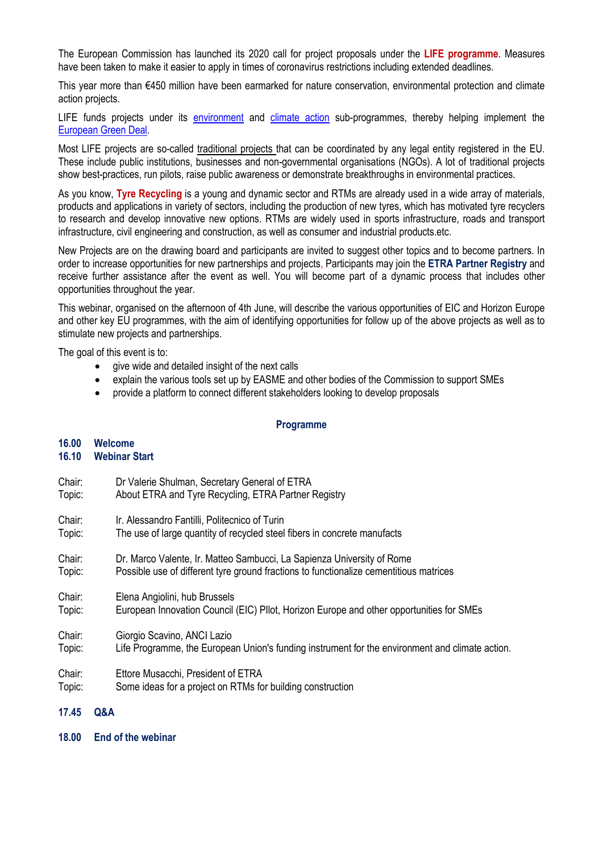The European Commission has launched its 2020 call for project proposals under the LIFE programme. Measures have been taken to make it easier to apply in times of coronavirus restrictions including extended deadlines.

This year more than €450 million have been earmarked for nature conservation, environmental protection and climate action projects.

LIFE funds projects under its environment and climate action sub-programmes, thereby helping implement the European Green Deal.

Most LIFE projects are so-called traditional projects that can be coordinated by any legal entity registered in the EU. These include public institutions, businesses and non-governmental organisations (NGOs). A lot of traditional projects show best-practices, run pilots, raise public awareness or demonstrate breakthroughs in environmental practices.

As you know, Tyre Recycling is a young and dynamic sector and RTMs are already used in a wide array of materials, products and applications in variety of sectors, including the production of new tyres, which has motivated tyre recyclers to research and develop innovative new options. RTMs are widely used in sports infrastructure, roads and transport infrastructure, civil engineering and construction, as well as consumer and industrial products.etc.

New Projects are on the drawing board and participants are invited to suggest other topics and to become partners. In order to increase opportunities for new partnerships and projects. Participants may join the ETRA Partner Registry and receive further assistance after the event as well. You will become part of a dynamic process that includes other opportunities throughout the year.

This webinar, organised on the afternoon of 4th June, will describe the various opportunities of EIC and Horizon Europe and other key EU programmes, with the aim of identifying opportunities for follow up of the above projects as well as to stimulate new projects and partnerships.

The goal of this event is to:

- give wide and detailed insight of the next calls
- explain the various tools set up by EASME and other bodies of the Commission to support SMEs
- provide a platform to connect different stakeholders looking to develop proposals

#### Programme

# 16.00 Welcome

#### 16.10 Webinar Start

- Chair: Dr Valerie Shulman, Secretary General of ETRA Topic: About ETRA and Tyre Recycling, ETRA Partner Registry Chair: Ir. Alessandro Fantilli, Politecnico of Turin Topic: The use of large quantity of recycled steel fibers in concrete manufacts Chair: Dr. Marco Valente, Ir. Matteo Sambucci, La Sapienza University of Rome Topic: Possible use of different tyre ground fractions to functionalize cementitious matrices Chair: Elena Angiolini, hub Brussels Topic: European Innovation Council (EIC) PIlot, Horizon Europe and other opportunities for SMEs Chair: Giorgio Scavino, ANCI Lazio Topic: Life Programme, the European Union's funding instrument for the environment and climate action. Chair: Ettore Musacchi, President of ETRA Topic: Some ideas for a project on RTMs for building construction
- 17.45 Q&A
- 18.00 End of the webinar